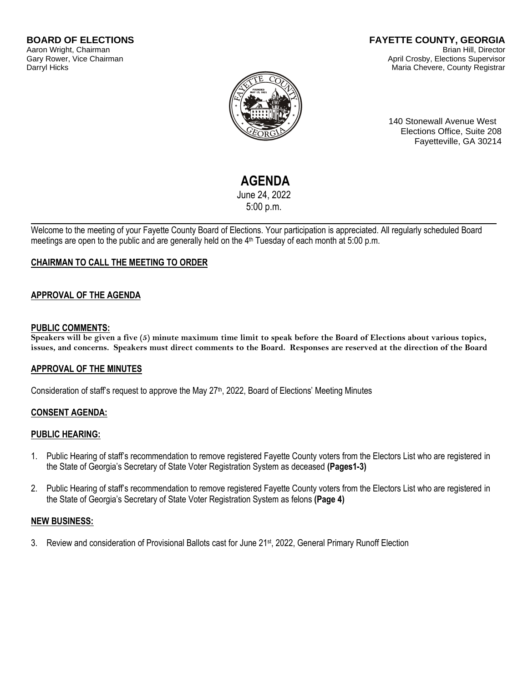#### **BOARD OF ELECTIONS** Aaron Wright, Chairman Gary Rower, Vice Chairman Darryl Hicks

#### **FAYETTE COUNTY, GEORGIA** Brian Hill, Director April Crosby, Elections Supervisor Maria Chevere, County Registrar



140 Stonewall Avenue West Elections Office, Suite 208 Fayetteville, GA 30214

# **AGENDA**

June 24, 2022 5:00 p.m.

Welcome to the meeting of your Fayette County Board of Elections. Your participation is appreciated. All regularly scheduled Board meetings are open to the public and are generally held on the 4<sup>th</sup> Tuesday of each month at 5:00 p.m.

## **CHAIRMAN TO CALL THE MEETING TO ORDER**

## **APPROVAL OF THE AGENDA**

#### **PUBLIC COMMENTS:**

**Speakers will be given a five (5) minute maximum time limit to speak before the Board of Elections about various topics, issues, and concerns. Speakers must direct comments to the Board. Responses are reserved at the direction of the Board**

## **APPROVAL OF THE MINUTES**

Consideration of staff's request to approve the May 27<sup>th</sup>, 2022, Board of Elections' Meeting Minutes

## **CONSENT AGENDA:**

## **PUBLIC HEARING:**

- 1. Public Hearing of staff's recommendation to remove registered Fayette County voters from the Electors List who are registered in the State of Georgia's Secretary of State Voter Registration System as deceased **(Pages1-3)**
- 2. Public Hearing of staff's recommendation to remove registered Fayette County voters from the Electors List who are registered in the State of Georgia's Secretary of State Voter Registration System as felons **(Page 4)**

## **NEW BUSINESS:**

3. Review and consideration of Provisional Ballots cast for June 21<sup>st</sup>, 2022, General Primary Runoff Election